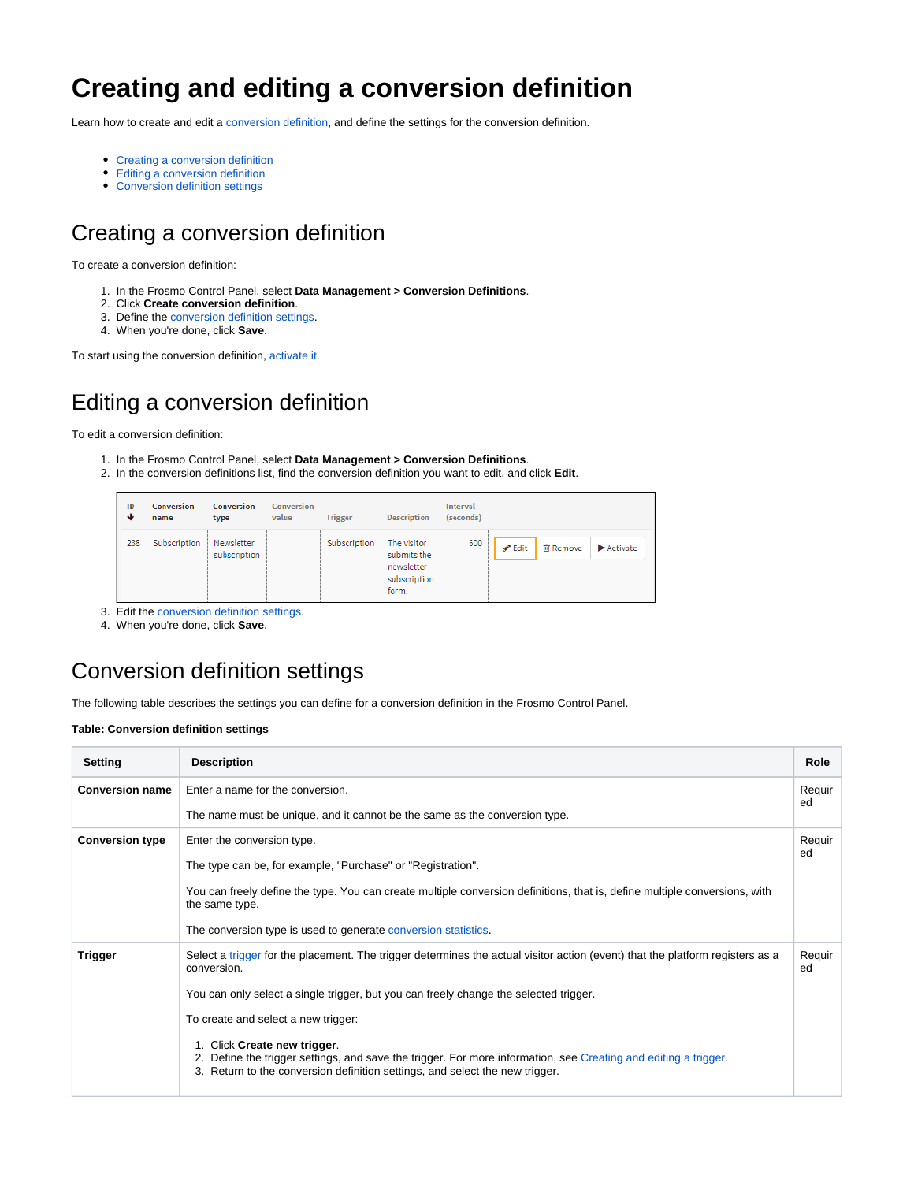# **Creating and editing a conversion definition**

Learn how to create and edit a [conversion definition,](https://docs.frosmo.com/display/platform/Feature%3A+Conversion+definition) and define the settings for the conversion definition.

- [Creating a conversion definition](#page-0-0)
- [Editing a conversion definition](#page-0-1)
- [Conversion definition settings](#page-0-2)

## <span id="page-0-0"></span>Creating a conversion definition

To create a conversion definition:

- 1. In the Frosmo Control Panel, select **Data Management > Conversion Definitions**.
- 2. Click **Create conversion definition**.
- 3. Define the [conversion definition settings.](#page-0-2)
- 4. When you're done, click **Save**.

To start using the conversion definition, [activate it](https://docs.frosmo.com/display/ui/Activating+and+deactivating+a+conversion+definition).

# <span id="page-0-1"></span>Editing a conversion definition

To edit a conversion definition:

- 1. In the Frosmo Control Panel, select **Data Management > Conversion Definitions**.
- 2. In the conversion definitions list, find the conversion definition you want to edit, and click **Edit**.

| ID<br>ෑ | Conversion<br>name | <b>Conversion</b><br>type  | <b>Conversion</b><br>value | <b>Trigger</b> | <b>Description</b>                                                | <b>Interval</b><br>(seconds) |                                                             |
|---------|--------------------|----------------------------|----------------------------|----------------|-------------------------------------------------------------------|------------------------------|-------------------------------------------------------------|
| 238     | Subscription       | Newsletter<br>subscription |                            | Subscription   | The visitor<br>submits the<br>newsletter<br>subscription<br>form. | 600                          | 间 Remove<br><b>∕</b> Edit<br>$\blacktriangleright$ Activate |

3. Edit the [conversion definition settings.](#page-0-2)

4. When you're done, click **Save**.

### <span id="page-0-2"></span>Conversion definition settings

The following table describes the settings you can define for a conversion definition in the Frosmo Control Panel.

#### **Table: Conversion definition settings**

| Setting                                              | <b>Description</b>                                                                                                                                                                                                              | Role         |
|------------------------------------------------------|---------------------------------------------------------------------------------------------------------------------------------------------------------------------------------------------------------------------------------|--------------|
| <b>Conversion name</b>                               | Enter a name for the conversion.                                                                                                                                                                                                |              |
|                                                      | The name must be unique, and it cannot be the same as the conversion type.                                                                                                                                                      | ed           |
| <b>Conversion type</b><br>Enter the conversion type. |                                                                                                                                                                                                                                 | Requir<br>ed |
|                                                      | The type can be, for example, "Purchase" or "Registration".                                                                                                                                                                     |              |
|                                                      | You can freely define the type. You can create multiple conversion definitions, that is, define multiple conversions, with<br>the same type.                                                                                    |              |
|                                                      | The conversion type is used to generate conversion statistics.                                                                                                                                                                  |              |
| <b>Trigger</b>                                       | Select a trigger for the placement. The trigger determines the actual visitor action (event) that the platform registers as a<br>conversion.                                                                                    |              |
|                                                      | You can only select a single trigger, but you can freely change the selected trigger.                                                                                                                                           |              |
|                                                      | To create and select a new trigger:                                                                                                                                                                                             |              |
|                                                      | 1. Click Create new trigger.<br>2. Define the trigger settings, and save the trigger. For more information, see Creating and editing a trigger.<br>3. Return to the conversion definition settings, and select the new trigger. |              |